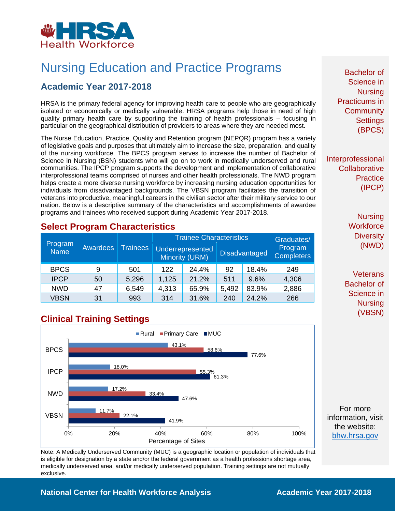

# Nursing Education and Practice Programs

## **Academic Year 2017-2018**

HRSA is the primary federal agency for improving health care to people who are geographically isolated or economically or medically vulnerable. HRSA programs help those in need of high quality primary health care by supporting the training of health professionals – focusing in particular on the geographical distribution of providers to areas where they are needed most.

The Nurse Education, Practice, Quality and Retention program (NEPQR) program has a variety of legislative goals and purposes that ultimately aim to increase the size, preparation, and quality of the nursing workforce. The BPCS program serves to increase the number of Bachelor of Science in Nursing (BSN) students who will go on to work in medically underserved and rural communities. The IPCP program supports the development and implementation of collaborative interprofessional teams comprised of nurses and other health professionals. The NWD program helps create a more diverse nursing workforce by increasing nursing education opportunities for individuals from disadvantaged backgrounds. The VBSN program facilitates the transition of veterans into productive, meaningful careers in the civilian sector after their military service to our nation. Below is a descriptive summary of the characteristics and accomplishments of awardee programs and trainees who received support during Academic Year 2017-2018.

## **Select Program Characteristics**

| Program<br><b>Name</b> | Awardees | <b>Trainees</b> | <b>Trainee Characteristics</b> |                                    |       |                      | Graduates/                   |
|------------------------|----------|-----------------|--------------------------------|------------------------------------|-------|----------------------|------------------------------|
|                        |          |                 |                                | Underrepresented<br>Minority (URM) |       | <b>Disadvantaged</b> | Program<br><b>Completers</b> |
| <b>BPCS</b>            | 9        | 501             | 122                            | 24.4%                              | 92    | 18.4%                | 249                          |
| <b>IPCP</b>            | 50       | 5,296           | 1,125                          | 21.2%                              | 511   | 9.6%                 | 4,306                        |
| <b>NWD</b>             | 47       | 6,549           | 4,313                          | 65.9%                              | 5,492 | 83.9%                | 2,886                        |
| <b>VBSN</b>            | 31       | 993             | 314                            | 31.6%                              | 240   | 24.2%                | 266                          |

# **Clinical Training Settings**



Note: A Medically Underserved Community (MUC) is a geographic location or population of individuals that is eligible for designation by a state and/or the federal government as a health professions shortage area, medically underserved area, and/or medically underserved population. Training settings are not mutually exclusive.

Bachelor of Science in **Nursing** Practicums in **Community Settings** (BPCS)

Interprofessional **Collaborative Practice** (IPCP)

> **Nursing Workforce Diversity** (NWD)

**Veterans** Bachelor of Science in Nursing (VBSN)

For more information, visit the website: [bhw.hrsa.gov](http://bhw.hrsa.gov/)

#### **National Center for Health Workforce Analysis Mational Center 2017-2018**